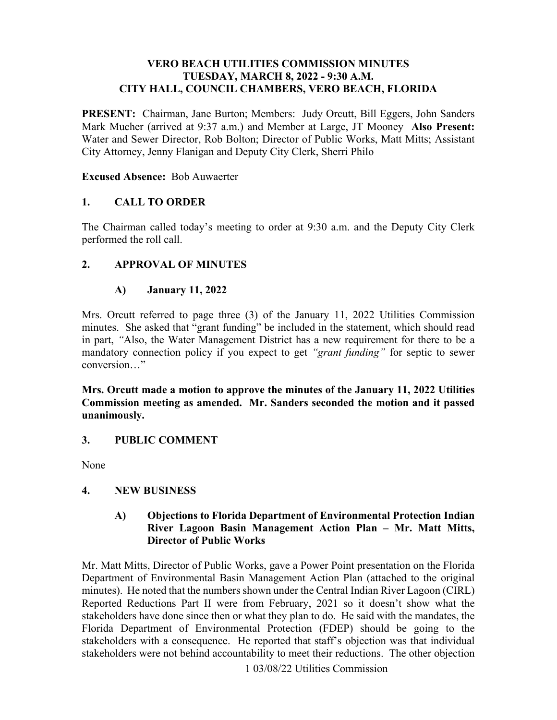#### **VERO BEACH UTILITIES COMMISSION MINUTES TUESDAY, MARCH 8, 2022 - 9:30 A.M. CITY HALL, COUNCIL CHAMBERS, VERO BEACH, FLORIDA**

PRESENT: Chairman, Jane Burton; Members: Judy Orcutt, Bill Eggers, John Sanders Mark Mucher (arrived at 9:37 a.m.) and Member at Large, JT Mooney **Also Present:**  City Attorney, Jenny Flanigan and Deputy City Clerk, Sherri Philo Water and Sewer Director, Rob Bolton; Director of Public Works, Matt Mitts; Assistant

# **Excused Absence:** Bob Auwaerter

## **1. CALL TO ORDER**

The Chairman called today's meeting to order at 9:30 a.m. and the Deputy City Clerk performed the roll call.

# **2. APPROVAL OF MINUTES**

# **A) January 11, 2022**

 in part, *"*Also, the Water Management District has a new requirement for there to be a conversion…" Mrs. Orcutt referred to page three (3) of the January 11, 2022 Utilities Commission minutes. She asked that "grant funding" be included in the statement, which should read mandatory connection policy if you expect to get *"grant funding"* for septic to sewer

 **Mrs. Orcutt made a motion to approve the minutes of the January 11, 2022 Utilities Commission meeting as amended. Mr. Sanders seconded the motion and it passed unanimously.** 

## **3. PUBLIC COMMENT**

None

## **4. NEW BUSINESS**

#### **A) Objections to Florida Department of Environmental Protection Indian River Lagoon Basin Management Action Plan – Mr. Matt Mitts, Director of Public Works**

 minutes). He noted that the numbers shown under the Central Indian River Lagoon (CIRL) stakeholders with a consequence. He reported that staff's objection was that individual Mr. Matt Mitts, Director of Public Works, gave a Power Point presentation on the Florida Department of Environmental Basin Management Action Plan (attached to the original Reported Reductions Part II were from February, 2021 so it doesn't show what the stakeholders have done since then or what they plan to do. He said with the mandates, the Florida Department of Environmental Protection (FDEP) should be going to the stakeholders were not behind accountability to meet their reductions. The other objection

1 03/08/22 Utilities Commission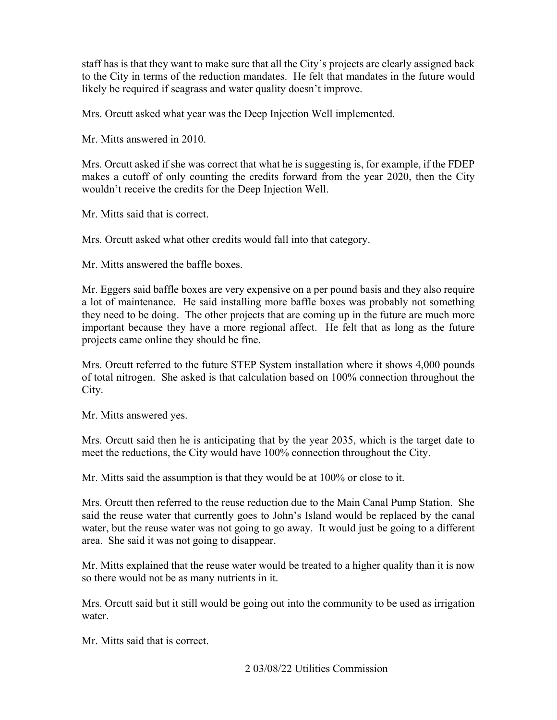staff has is that they want to make sure that all the City's projects are clearly assigned back likely be required if seagrass and water quality doesn't improve. to the City in terms of the reduction mandates. He felt that mandates in the future would

Mrs. Orcutt asked what year was the Deep Injection Well implemented.

Mr. Mitts answered in 2010.

 Mrs. Orcutt asked if she was correct that what he is suggesting is, for example, if the FDEP makes a cutoff of only counting the credits forward from the year 2020, then the City wouldn't receive the credits for the Deep Injection Well.

Mr. Mitts said that is correct.

Mrs. Orcutt asked what other credits would fall into that category.

Mr. Mitts answered the baffle boxes.

 a lot of maintenance. He said installing more baffle boxes was probably not something projects came online they should be fine. Mr. Eggers said baffle boxes are very expensive on a per pound basis and they also require they need to be doing. The other projects that are coming up in the future are much more important because they have a more regional affect. He felt that as long as the future

Mrs. Orcutt referred to the future STEP System installation where it shows 4,000 pounds of total nitrogen. She asked is that calculation based on 100% connection throughout the City.

Mr. Mitts answered yes.

Mrs. Orcutt said then he is anticipating that by the year 2035, which is the target date to meet the reductions, the City would have 100% connection throughout the City.

Mr. Mitts said the assumption is that they would be at 100% or close to it.

 water, but the reuse water was not going to go away. It would just be going to a different Mrs. Orcutt then referred to the reuse reduction due to the Main Canal Pump Station. She said the reuse water that currently goes to John's Island would be replaced by the canal area. She said it was not going to disappear.

Mr. Mitts explained that the reuse water would be treated to a higher quality than it is now so there would not be as many nutrients in it.

Mrs. Orcutt said but it still would be going out into the community to be used as irrigation water.

Mr. Mitts said that is correct.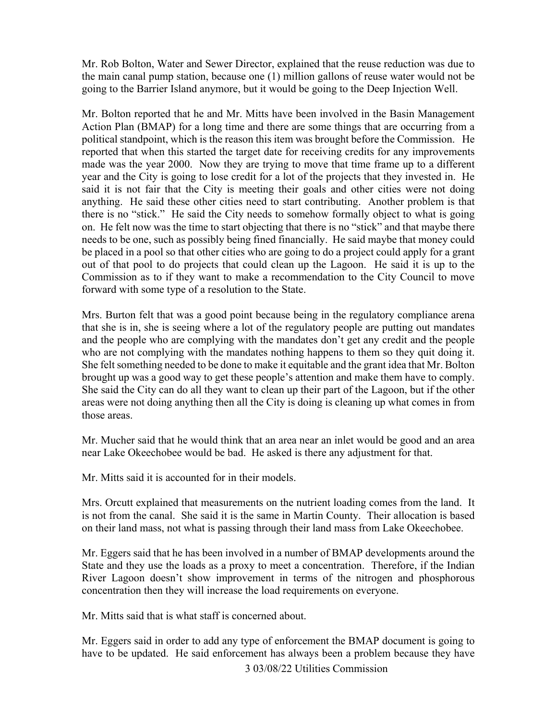the main canal pump station, because one (1) million gallons of reuse water would not be Mr. Rob Bolton, Water and Sewer Director, explained that the reuse reduction was due to going to the Barrier Island anymore, but it would be going to the Deep Injection Well.

 political standpoint, which is the reason this item was brought before the Commission. He reported that when this started the target date for receiving credits for any improvements made was the year 2000. Now they are trying to move that time frame up to a different year and the City is going to lose credit for a lot of the projects that they invested in. He said it is not fair that the City is meeting their goals and other cities were not doing be placed in a pool so that other cities who are going to do a project could apply for a grant out of that pool to do projects that could clean up the Lagoon. He said it is up to the Mr. Bolton reported that he and Mr. Mitts have been involved in the Basin Management Action Plan (BMAP) for a long time and there are some things that are occurring from a anything. He said these other cities need to start contributing. Another problem is that there is no "stick." He said the City needs to somehow formally object to what is going on. He felt now was the time to start objecting that there is no "stick" and that maybe there needs to be one, such as possibly being fined financially. He said maybe that money could Commission as to if they want to make a recommendation to the City Council to move forward with some type of a resolution to the State.

brought up was a good way to get these people's attention and make them have to comply. brought up was a good way to get these people's attention and make them have to comply. She said the City can do all they want to clean up their part of the Lagoon, but if the other areas were not doing anything then all the City is doing is cleaning up what comes in from Mrs. Burton felt that was a good point because being in the regulatory compliance arena that she is in, she is seeing where a lot of the regulatory people are putting out mandates and the people who are complying with the mandates don't get any credit and the people who are not complying with the mandates nothing happens to them so they quit doing it. She felt something needed to be done to make it equitable and the grant idea that Mr. Bolton those areas.

 Mr. Mucher said that he would think that an area near an inlet would be good and an area near Lake Okeechobee would be bad. He asked is there any adjustment for that.

Mr. Mitts said it is accounted for in their models.

 Mrs. Orcutt explained that measurements on the nutrient loading comes from the land. It is not from the canal. She said it is the same in Martin County. Their allocation is based on their land mass, not what is passing through their land mass from Lake Okeechobee.

Mr. Eggers said that he has been involved in a number of BMAP developments around the State and they use the loads as a proxy to meet a concentration. Therefore, if the Indian River Lagoon doesn't show improvement in terms of the nitrogen and phosphorous concentration then they will increase the load requirements on everyone.

Mr. Mitts said that is what staff is concerned about.

Mr. Eggers said in order to add any type of enforcement the BMAP document is going to have to be updated. He said enforcement has always been a problem because they have 3 03/08/22 Utilities Commission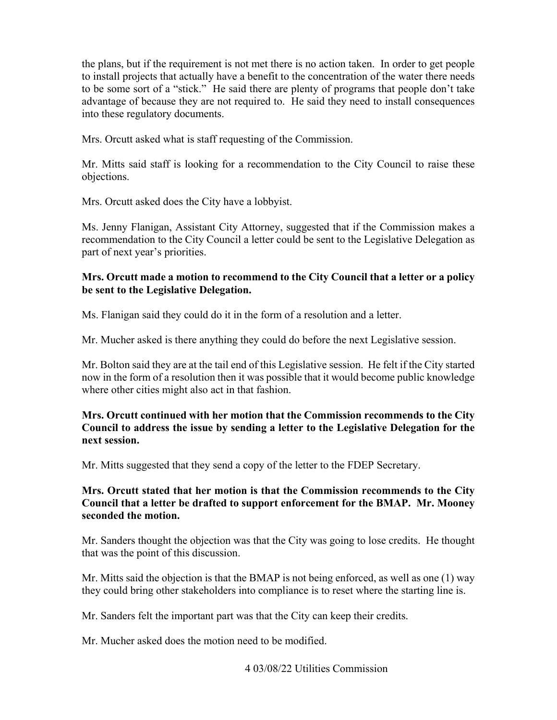the plans, but if the requirement is not met there is no action taken. In order to get people to install projects that actually have a benefit to the concentration of the water there needs to be some sort of a "stick." He said there are plenty of programs that people don't take advantage of because they are not required to. He said they need to install consequences into these regulatory documents.

Mrs. Orcutt asked what is staff requesting of the Commission.

 Mr. Mitts said staff is looking for a recommendation to the City Council to raise these objections.

Mrs. Orcutt asked does the City have a lobbyist.

 part of next year's priorities. Ms. Jenny Flanigan, Assistant City Attorney, suggested that if the Commission makes a recommendation to the City Council a letter could be sent to the Legislative Delegation as

## **Mrs. Orcutt made a motion to recommend to the City Council that a letter or a policy be sent to the Legislative Delegation.**

Ms. Flanigan said they could do it in the form of a resolution and a letter.

Mr. Mucher asked is there anything they could do before the next Legislative session.

Mr. Bolton said they are at the tail end of this Legislative session. He felt if the City started now in the form of a resolution then it was possible that it would become public knowledge where other cities might also act in that fashion.

## **Mrs. Orcutt continued with her motion that the Commission recommends to the City Council to address the issue by sending a letter to the Legislative Delegation for the next session.**

Mr. Mitts suggested that they send a copy of the letter to the FDEP Secretary.

## **Council that a letter be drafted to support enforcement for the BMAP. Mr. Mooney Mrs. Orcutt stated that her motion is that the Commission recommends to the City seconded the motion.**

 Mr. Sanders thought the objection was that the City was going to lose credits. He thought that was the point of this discussion.

Mr. Mitts said the objection is that the BMAP is not being enforced, as well as one (1) way they could bring other stakeholders into compliance is to reset where the starting line is.

Mr. Sanders felt the important part was that the City can keep their credits.

Mr. Mucher asked does the motion need to be modified.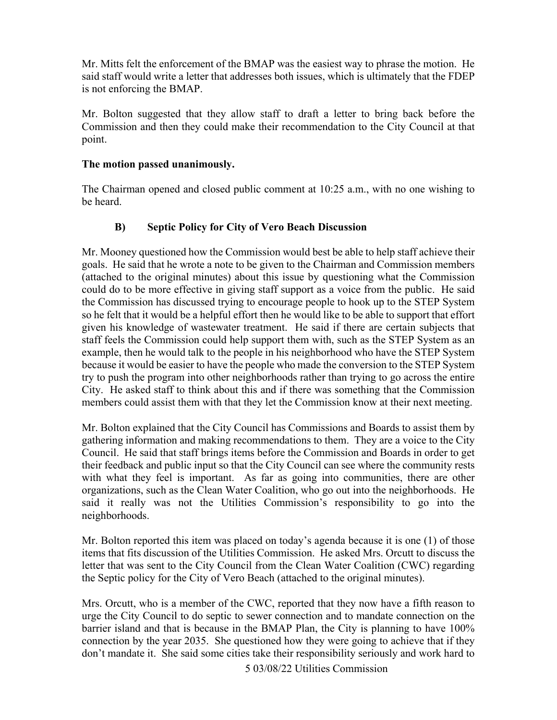Mr. Mitts felt the enforcement of the BMAP was the easiest way to phrase the motion. He said staff would write a letter that addresses both issues, which is ultimately that the FDEP is not enforcing the BMAP.

 Commission and then they could make their recommendation to the City Council at that Mr. Bolton suggested that they allow staff to draft a letter to bring back before the point.

## **The motion passed unanimously.**

The Chairman opened and closed public comment at 10:25 a.m., with no one wishing to be heard.

# **B) Septic Policy for City of Vero Beach Discussion**

 Mr. Mooney questioned how the Commission would best be able to help staff achieve their (attached to the original minutes) about this issue by questioning what the Commission so he felt that it would be a helpful effort then he would like to be able to support that effort because it would be easier to have the people who made the conversion to the STEP System members could assist them with that they let the Commission know at their next meeting. goals. He said that he wrote a note to be given to the Chairman and Commission members could do to be more effective in giving staff support as a voice from the public. He said the Commission has discussed trying to encourage people to hook up to the STEP System given his knowledge of wastewater treatment. He said if there are certain subjects that staff feels the Commission could help support them with, such as the STEP System as an example, then he would talk to the people in his neighborhood who have the STEP System try to push the program into other neighborhoods rather than trying to go across the entire City. He asked staff to think about this and if there was something that the Commission

 Mr. Bolton explained that the City Council has Commissions and Boards to assist them by with what they feel is important. As far as going into communities, there are other gathering information and making recommendations to them. They are a voice to the City Council. He said that staff brings items before the Commission and Boards in order to get their feedback and public input so that the City Council can see where the community rests organizations, such as the Clean Water Coalition, who go out into the neighborhoods. He said it really was not the Utilities Commission's responsibility to go into the neighborhoods.

 letter that was sent to the City Council from the Clean Water Coalition (CWC) regarding the Septic policy for the City of Vero Beach (attached to the original minutes). Mr. Bolton reported this item was placed on today's agenda because it is one (1) of those items that fits discussion of the Utilities Commission. He asked Mrs. Orcutt to discuss the

 barrier island and that is because in the BMAP Plan, the City is planning to have 100% Mrs. Orcutt, who is a member of the CWC, reported that they now have a fifth reason to urge the City Council to do septic to sewer connection and to mandate connection on the connection by the year 2035. She questioned how they were going to achieve that if they don't mandate it. She said some cities take their responsibility seriously and work hard to

5 03/08/22 Utilities Commission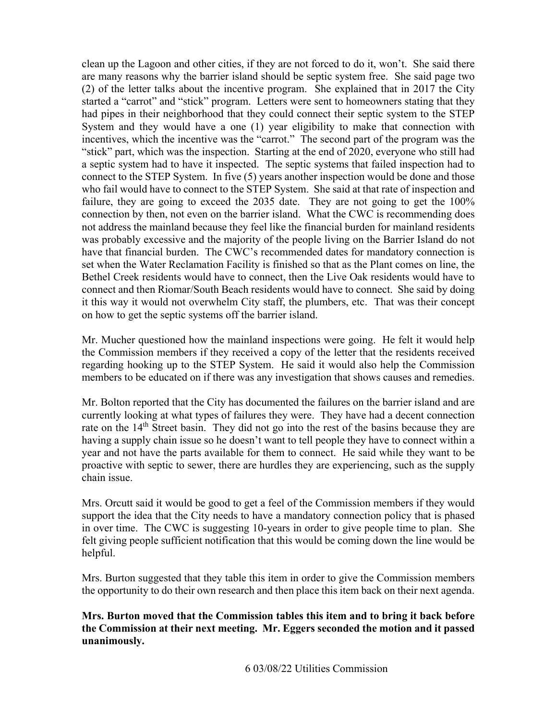(2) of the letter talks about the incentive program. She explained that in 2017 the City connect to the STEP System. In five (5) years another inspection would be done and those who fail would have to connect to the STEP System. She said at that rate of inspection and connection by then, not even on the barrier island. What the CWC is recommending does was probably excessive and the majority of the people living on the Barrier Island do not Bethel Creek residents would have to connect, then the Live Oak residents would have to on how to get the septic systems off the barrier island. clean up the Lagoon and other cities, if they are not forced to do it, won't. She said there are many reasons why the barrier island should be septic system free. She said page two started a "carrot" and "stick" program. Letters were sent to homeowners stating that they had pipes in their neighborhood that they could connect their septic system to the STEP System and they would have a one (1) year eligibility to make that connection with incentives, which the incentive was the "carrot." The second part of the program was the "stick" part, which was the inspection. Starting at the end of 2020, everyone who still had a septic system had to have it inspected. The septic systems that failed inspection had to failure, they are going to exceed the 2035 date. They are not going to get the 100% not address the mainland because they feel like the financial burden for mainland residents have that financial burden. The CWC's recommended dates for mandatory connection is set when the Water Reclamation Facility is finished so that as the Plant comes on line, the connect and then Riomar/South Beach residents would have to connect. She said by doing it this way it would not overwhelm City staff, the plumbers, etc. That was their concept

Mr. Mucher questioned how the mainland inspections were going. He felt it would help the Commission members if they received a copy of the letter that the residents received regarding hooking up to the STEP System. He said it would also help the Commission members to be educated on if there was any investigation that shows causes and remedies.

 Mr. Bolton reported that the City has documented the failures on the barrier island and are rate on the 14<sup>th</sup> Street basin. They did not go into the rest of the basins because they are year and not have the parts available for them to connect. He said while they want to be currently looking at what types of failures they were. They have had a decent connection having a supply chain issue so he doesn't want to tell people they have to connect within a proactive with septic to sewer, there are hurdles they are experiencing, such as the supply chain issue.

 support the idea that the City needs to have a mandatory connection policy that is phased felt giving people sufficient notification that this would be coming down the line would be Mrs. Orcutt said it would be good to get a feel of the Commission members if they would in over time. The CWC is suggesting 10-years in order to give people time to plan. She helpful.

 the opportunity to do their own research and then place this item back on their next agenda. Mrs. Burton suggested that they table this item in order to give the Commission members

 **the Commission at their next meeting. Mr. Eggers seconded the motion and it passed Mrs. Burton moved that the Commission tables this item and to bring it back before unanimously.**